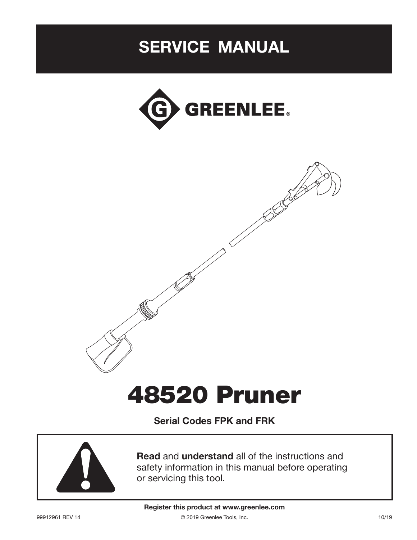# SERVICE MANUAL



# 48520 Pruner

Serial Codes FPK and FRK



Read and understand all of the instructions and safety information in this manual before operating or servicing this tool.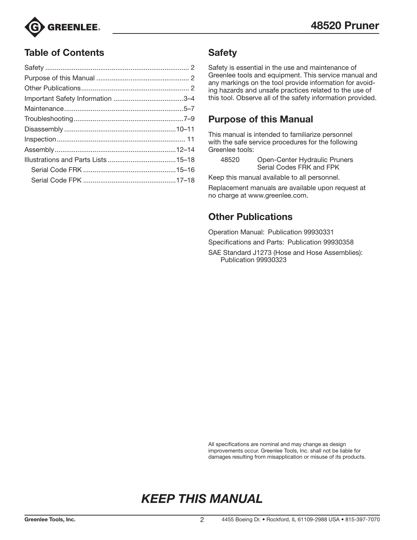

### Table of Contents

### **Safety**

Safety is essential in the use and maintenance of Greenlee tools and equipment. This service manual and any markings on the tool provide information for avoiding hazards and unsafe practices related to the use of this tool. Observe all of the safety information provided.

### Purpose of this Manual

This manual is intended to familiarize personnel with the safe service procedures for the following Greenlee tools:

| 48520 | Open-Center Hydraulic Pruners |
|-------|-------------------------------|
|       | Serial Codes FRK and FPK      |

Keep this manual available to all personnel.

Replacement manuals are available upon request at no charge at www.greenlee.com.

### Other Publications

Operation Manual: Publication 99930331

Specifications and Parts: Publication 99930358

SAE Standard J1273 (Hose and Hose Assemblies): Publication 99930323

All specifications are nominal and may change as design improvements occur. Greenlee Tools, Inc. shall not be liable for damages resulting from misapplication or misuse of its products.

# *KEEP THIS MANUAL*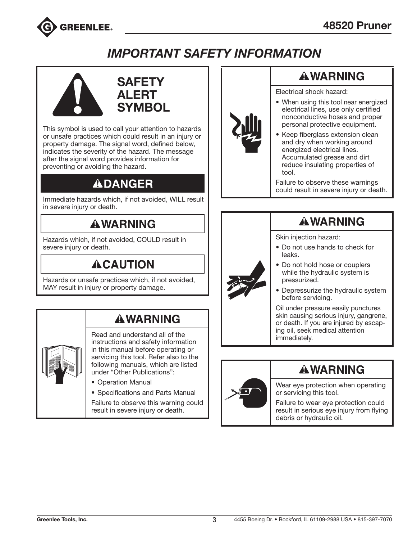

# *IMPORTANT SAFETY INFORMATION*





This symbol is used to call your attention to hazards or unsafe practices which could result in an injury or property damage. The signal word, defined below, indicates the severity of the hazard. The message after the signal word provides information for preventing or avoiding the hazard.

# **ADANGER**

Immediate hazards which, if not avoided, WILL result in severe injury or death.

# **AWARNING**

Hazards which, if not avoided, COULD result in severe injury or death.

# **ACAUTION**

Hazards or unsafe practices which, if not avoided, MAY result in injury or property damage.

# **AWARNING**

Read and understand all of the instructions and safety information in this manual before operating or servicing this tool. Refer also to the following manuals, which are listed under "Other Publications":

- Operation Manual
- Specifications and Parts Manual

Failure to observe this warning could result in severe injury or death.



# **AWARNING**

Electrical shock hazard:

- When using this tool near energized electrical lines, use only certified nonconductive hoses and proper personal protective equipment.
- Keep fiberglass extension clean and dry when working around energized electrical lines. Accumulated grease and dirt reduce insulating properties of tool.

Failure to observe these warnings could result in severe injury or death.

# **AWARNING**

Skin injection hazard:

- Do not use hands to check for leaks.
- Do not hold hose or couplers while the hydraulic system is pressurized.
- Depressurize the hydraulic system before servicing.

Oil under pressure easily punctures skin causing serious injury, gangrene, or death. If you are injured by escaping oil, seek medical attention immediately.



# **AWARNING**

Wear eye protection when operating or servicing this tool.

Failure to wear eye protection could result in serious eye injury from flying debris or hydraulic oil.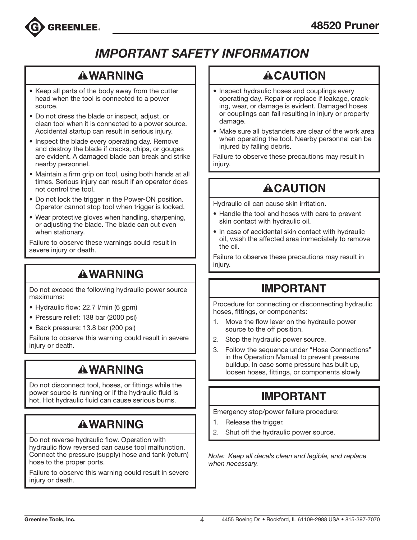

# *IMPORTANT SAFETY INFORMATION*

## **AWARNING**

- Keep all parts of the body away from the cutter head when the tool is connected to a power source.
- Do not dress the blade or inspect, adjust, or clean tool when it is connected to a power source. Accidental startup can result in serious injury.
- Inspect the blade every operating day. Remove and destroy the blade if cracks, chips, or gouges are evident. A damaged blade can break and strike nearby personnel.
- Maintain a firm grip on tool, using both hands at all times. Serious injury can result if an operator does not control the tool.
- Do not lock the trigger in the Power-ON position. Operator cannot stop tool when trigger is locked.
- Wear protective gloves when handling, sharpening, or adjusting the blade. The blade can cut even when stationary.

Failure to observe these warnings could result in severe injury or death.

# **AWARNING**

Do not exceed the following hydraulic power source maximums:

- Hydraulic flow: 22.7 l/min (6 gpm)
- Pressure relief: 138 bar (2000 psi)
- Back pressure: 13.8 bar (200 psi)

Failure to observe this warning could result in severe injury or death.

# **AWARNING**

Do not disconnect tool, hoses, or fittings while the power source is running or if the hydraulic fluid is hot. Hot hydraulic fluid can cause serious burns.

# **AWARNING**

Do not reverse hydraulic flow. Operation with hydraulic flow reversed can cause tool malfunction. Connect the pressure (supply) hose and tank (return) hose to the proper ports.

Failure to observe this warning could result in severe injury or death.

# **ACAUTION**

- Inspect hydraulic hoses and couplings every operating day. Repair or replace if leakage, cracking, wear, or damage is evident. Damaged hoses or couplings can fail resulting in injury or property damage.
- Make sure all bystanders are clear of the work area when operating the tool. Nearby personnel can be injured by falling debris.

Failure to observe these precautions may result in injury.

# **ACAUTION**

Hydraulic oil can cause skin irritation.

- Handle the tool and hoses with care to prevent skin contact with hydraulic oil.
- In case of accidental skin contact with hydraulic oil, wash the affected area immediately to remove the oil.

Failure to observe these precautions may result in injury.

# **IMPORTANT**

Procedure for connecting or disconnecting hydraulic hoses, fittings, or components:

- 1. Move the flow lever on the hydraulic power source to the off position.
- 2. Stop the hydraulic power source.
- 3. Follow the sequence under "Hose Connections" in the Operation Manual to prevent pressure buildup. In case some pressure has built up, loosen hoses, fittings, or components slowly

# **IMPORTANT**

Emergency stop/power failure procedure:

- 1. Release the trigger.
- 2. Shut off the hydraulic power source.

*Note: Keep all decals clean and legible, and replace when necessary.*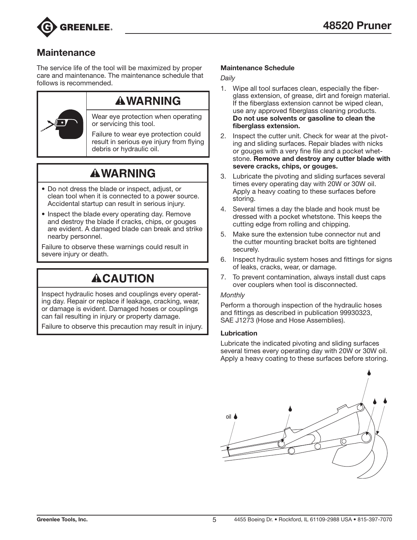

### **Maintenance**

The service life of the tool will be maximized by proper care and maintenance. The maintenance schedule that follows is recommended.



### **AWARNING**

Wear eye protection when operating or servicing this tool.

Failure to wear eye protection could result in serious eye injury from flying debris or hydraulic oil.

# **AWARNING**

- Do not dress the blade or inspect, adjust, or clean tool when it is connected to a power source. Accidental startup can result in serious injury.
- Inspect the blade every operating day. Remove and destroy the blade if cracks, chips, or gouges are evident. A damaged blade can break and strike nearby personnel.

Failure to observe these warnings could result in severe injury or death.

# **ACAUTION**

Inspect hydraulic hoses and couplings every operating day. Repair or replace if leakage, cracking, wear, or damage is evident. Damaged hoses or couplings can fail resulting in injury or property damage.

Failure to observe this precaution may result in injury.

#### Maintenance Schedule

*Daily*

- 1. Wipe all tool surfaces clean, especially the fiberglass extension, of grease, dirt and foreign material. If the fiberglass extension cannot be wiped clean, use any approved fiberglass cleaning products. Do not use solvents or gasoline to clean the fiberglass extension.
- 2. Inspect the cutter unit. Check for wear at the pivoting and sliding surfaces. Repair blades with nicks or gouges with a very fine file and a pocket whetstone. Remove and destroy any cutter blade with severe cracks, chips, or gouges.
- 3. Lubricate the pivoting and sliding surfaces several times every operating day with 20W or 30W oil. Apply a heavy coating to these surfaces before storing.
- 4. Several times a day the blade and hook must be dressed with a pocket whetstone. This keeps the cutting edge from rolling and chipping.
- 5. Make sure the extension tube connector nut and the cutter mounting bracket bolts are tightened securely.
- 6. Inspect hydraulic system hoses and fittings for signs of leaks, cracks, wear, or damage.
- 7. To prevent contamination, always install dust caps over couplers when tool is disconnected.

#### *Monthly*

Perform a thorough inspection of the hydraulic hoses and fittings as described in publication 99930323, SAE J1273 (Hose and Hose Assemblies).

#### Lubrication

Lubricate the indicated pivoting and sliding surfaces several times every operating day with 20W or 30W oil. Apply a heavy coating to these surfaces before storing.

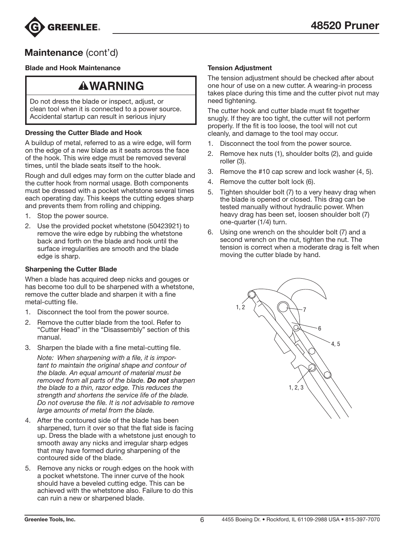

### Maintenance (cont'd)

#### Blade and Hook Maintenance

### **AWARNING**

Do not dress the blade or inspect, adjust, or clean tool when it is connected to a power source. Accidental startup can result in serious injury

#### Dressing the Cutter Blade and Hook

A buildup of metal, referred to as a wire edge, will form on the edge of a new blade as it seats across the face of the hook. This wire edge must be removed several times, until the blade seats itself to the hook.

Rough and dull edges may form on the cutter blade and the cutter hook from normal usage. Both components must be dressed with a pocket whetstone several times each operating day. This keeps the cutting edges sharp and prevents them from rolling and chipping.

- 1. Stop the power source.
- 2. Use the provided pocket whetstone (50423921) to remove the wire edge by rubbing the whetstone back and forth on the blade and hook until the surface irregularities are smooth and the blade edge is sharp.

#### Sharpening the Cutter Blade

When a blade has acquired deep nicks and gouges or has become too dull to be sharpened with a whetstone, remove the cutter blade and sharpen it with a fine metal-cutting file.

- 1. Disconnect the tool from the power source.
- 2. Remove the cutter blade from the tool. Refer to "Cutter Head" in the "Disassembly" section of this manual.
- 3. Sharpen the blade with a fine metal-cutting file.

*Note: When sharpening with a file, it is important to maintain the original shape and contour of the blade. An equal amount of material must be removed from all parts of the blade. Do not sharpen the blade to a thin, razor edge. This reduces the strength and shortens the service life of the blade. Do not overuse the file. It is not advisable to remove large amounts of metal from the blade.*

- 4. After the contoured side of the blade has been sharpened, turn it over so that the flat side is facing up. Dress the blade with a whetstone just enough to smooth away any nicks and irregular sharp edges that may have formed during sharpening of the contoured side of the blade.
- 5. Remove any nicks or rough edges on the hook with a pocket whetstone. The inner curve of the hook should have a beveled cutting edge. This can be achieved with the whetstone also. Failure to do this can ruin a new or sharpened blade.

#### Tension Adjustment

The tension adjustment should be checked after about one hour of use on a new cutter. A wearing-in process takes place during this time and the cutter pivot nut may need tightening.

The cutter hook and cutter blade must fit together snugly. If they are too tight, the cutter will not perform properly. If the fit is too loose, the tool will not cut cleanly, and damage to the tool may occur.

- 1. Disconnect the tool from the power source.
- 2. Remove hex nuts (1), shoulder bolts (2), and guide roller (3).
- 3. Remove the #10 cap screw and lock washer (4, 5).
- 4. Remove the cutter bolt lock (6).
- 5. Tighten shoulder bolt (7) to a very heavy drag when the blade is opened or closed. This drag can be tested manually without hydraulic power. When heavy drag has been set, loosen shoulder bolt (7) one-quarter (1/4) turn.
- 6. Using one wrench on the shoulder bolt (7) and a second wrench on the nut, tighten the nut. The tension is correct when a moderate drag is felt when moving the cutter blade by hand.

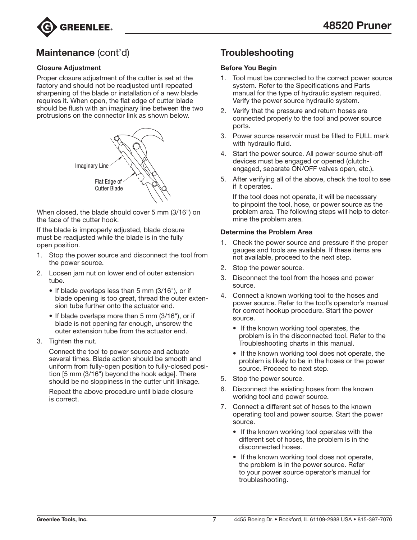

### Maintenance (cont'd) Troubleshooting

#### Closure Adjustment

Proper closure adjustment of the cutter is set at the factory and should not be readjusted until repeated sharpening of the blade or installation of a new blade requires it. When open, the flat edge of cutter blade should be flush with an imaginary line between the two protrusions on the connector link as shown below.



When closed, the blade should cover 5 mm (3/16") on the face of the cutter hook.

If the blade is improperly adjusted, blade closure must be readjusted while the blade is in the fully open position.

- 1. Stop the power source and disconnect the tool from the power source.
- 2. Loosen jam nut on lower end of outer extension tube.
	- If blade overlaps less than 5 mm (3/16"), or if blade opening is too great, thread the outer extension tube further onto the actuator end.
	- If blade overlaps more than 5 mm (3/16"), or if blade is not opening far enough, unscrew the outer extension tube from the actuator end.
- 3. Tighten the nut.

Connect the tool to power source and actuate several times. Blade action should be smooth and uniform from fully-open position to fully-closed position [5 mm (3/16") beyond the hook edge]. There should be no sloppiness in the cutter unit linkage.

Repeat the above procedure until blade closure is correct.

#### Before You Begin

- 1. Tool must be connected to the correct power source system. Refer to the Specifications and Parts manual for the type of hydraulic system required. Verify the power source hydraulic system.
- 2. Verify that the pressure and return hoses are connected properly to the tool and power source ports.
- 3. Power source reservoir must be filled to FULL mark with hydraulic fluid.
- 4. Start the power source. All power source shut-off devices must be engaged or opened (clutchengaged, separate ON/OFF valves open, etc.).
- 5. After verifying all of the above, check the tool to see if it operates.

If the tool does not operate, it will be necessary to pinpoint the tool, hose, or power source as the problem area. The following steps will help to determine the problem area.

#### Determine the Problem Area

- 1. Check the power source and pressure if the proper gauges and tools are available. If these items are not available, proceed to the next step.
- 2. Stop the power source.
- 3. Disconnect the tool from the hoses and power source.
- 4. Connect a known working tool to the hoses and power source. Refer to the tool's operator's manual for correct hookup procedure. Start the power source.
	- If the known working tool operates, the problem is in the disconnected tool. Refer to the Troubleshooting charts in this manual.
	- If the known working tool does not operate, the problem is likely to be in the hoses or the power source. Proceed to next step.
- 5. Stop the power source.
- 6. Disconnect the existing hoses from the known working tool and power source.
- 7. Connect a different set of hoses to the known operating tool and power source. Start the power source.
	- If the known working tool operates with the different set of hoses, the problem is in the disconnected hoses.
	- If the known working tool does not operate, the problem is in the power source. Refer to your power source operator's manual for troubleshooting.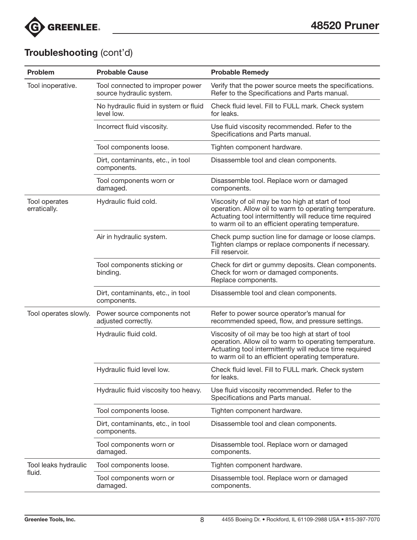

## Troubleshooting (cont'd)

| Problem                       | <b>Probable Cause</b>                                        | <b>Probable Remedy</b>                                                                                                                                                                                                       |  |  |
|-------------------------------|--------------------------------------------------------------|------------------------------------------------------------------------------------------------------------------------------------------------------------------------------------------------------------------------------|--|--|
| Tool inoperative.             | Tool connected to improper power<br>source hydraulic system. | Verify that the power source meets the specifications.<br>Refer to the Specifications and Parts manual.                                                                                                                      |  |  |
|                               | No hydraulic fluid in system or fluid<br>level low.          | Check fluid level. Fill to FULL mark. Check system<br>for leaks.                                                                                                                                                             |  |  |
|                               | Incorrect fluid viscosity.                                   | Use fluid viscosity recommended. Refer to the<br>Specifications and Parts manual.                                                                                                                                            |  |  |
|                               | Tool components loose.                                       | Tighten component hardware.                                                                                                                                                                                                  |  |  |
|                               | Dirt, contaminants, etc., in tool<br>components.             | Disassemble tool and clean components.                                                                                                                                                                                       |  |  |
|                               | Tool components worn or<br>damaged.                          | Disassemble tool. Replace worn or damaged<br>components.                                                                                                                                                                     |  |  |
| Tool operates<br>erratically. | Hydraulic fluid cold.                                        | Viscosity of oil may be too high at start of tool<br>operation. Allow oil to warm to operating temperature.<br>Actuating tool intermittently will reduce time required<br>to warm oil to an efficient operating temperature. |  |  |
|                               | Air in hydraulic system.                                     | Check pump suction line for damage or loose clamps.<br>Tighten clamps or replace components if necessary.<br>Fill reservoir.                                                                                                 |  |  |
|                               | Tool components sticking or<br>binding.                      | Check for dirt or gummy deposits. Clean components.<br>Check for worn or damaged components.<br>Replace components.                                                                                                          |  |  |
|                               | Dirt, contaminants, etc., in tool<br>components.             | Disassemble tool and clean components.                                                                                                                                                                                       |  |  |
| Tool operates slowly.         | Power source components not<br>adjusted correctly.           | Refer to power source operator's manual for<br>recommended speed, flow, and pressure settings.                                                                                                                               |  |  |
|                               | Hydraulic fluid cold.                                        | Viscosity of oil may be too high at start of tool<br>operation. Allow oil to warm to operating temperature.<br>Actuating tool intermittently will reduce time required<br>to warm oil to an efficient operating temperature. |  |  |
|                               | Hydraulic fluid level low.                                   | Check fluid level. Fill to FULL mark. Check system<br>for leaks.                                                                                                                                                             |  |  |
|                               | Hydraulic fluid viscosity too heavy.                         | Use fluid viscosity recommended. Refer to the<br>Specifications and Parts manual.                                                                                                                                            |  |  |
|                               | Tool components loose.                                       | Tighten component hardware.                                                                                                                                                                                                  |  |  |
|                               | Dirt, contaminants, etc., in tool<br>components.             | Disassemble tool and clean components.                                                                                                                                                                                       |  |  |
|                               | Tool components worn or<br>damaged.                          | Disassemble tool. Replace worn or damaged<br>components.                                                                                                                                                                     |  |  |
| Tool leaks hydraulic          | Tool components loose.                                       | Tighten component hardware.                                                                                                                                                                                                  |  |  |
| fluid.                        | Tool components worn or<br>damaged.                          | Disassemble tool. Replace worn or damaged<br>components.                                                                                                                                                                     |  |  |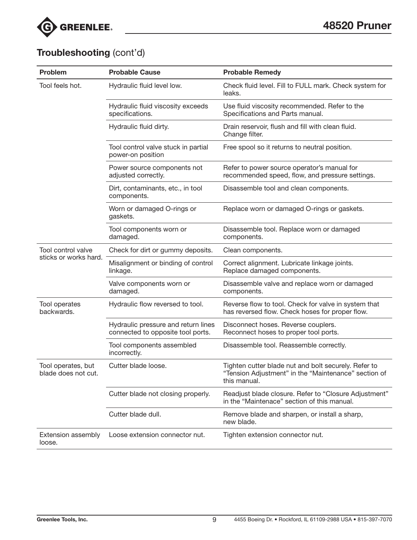

## Troubleshooting (cont'd)

| Problem                                   | <b>Probable Cause</b>                                                    | <b>Probable Remedy</b>                                                                                                       |
|-------------------------------------------|--------------------------------------------------------------------------|------------------------------------------------------------------------------------------------------------------------------|
| Tool feels hot.                           | Hydraulic fluid level low.                                               | Check fluid level. Fill to FULL mark. Check system for<br>leaks.                                                             |
|                                           | Hydraulic fluid viscosity exceeds<br>specifications.                     | Use fluid viscosity recommended. Refer to the<br>Specifications and Parts manual.                                            |
|                                           | Hydraulic fluid dirty.                                                   | Drain reservoir, flush and fill with clean fluid.<br>Change filter.                                                          |
|                                           | Tool control valve stuck in partial<br>power-on position                 | Free spool so it returns to neutral position.                                                                                |
|                                           | Power source components not<br>adjusted correctly.                       | Refer to power source operator's manual for<br>recommended speed, flow, and pressure settings.                               |
|                                           | Dirt, contaminants, etc., in tool<br>components.                         | Disassemble tool and clean components.                                                                                       |
|                                           | Worn or damaged O-rings or<br>gaskets.                                   | Replace worn or damaged O-rings or gaskets.                                                                                  |
|                                           | Tool components worn or<br>damaged.                                      | Disassemble tool. Replace worn or damaged<br>components.                                                                     |
| Tool control valve                        | Check for dirt or gummy deposits.                                        | Clean components.                                                                                                            |
| sticks or works hard.                     | Misalignment or binding of control<br>linkage.                           | Correct alignment. Lubricate linkage joints.<br>Replace damaged components.                                                  |
|                                           | Valve components worn or<br>damaged.                                     | Disassemble valve and replace worn or damaged<br>components.                                                                 |
| Tool operates<br>backwards.               | Hydraulic flow reversed to tool.                                         | Reverse flow to tool. Check for valve in system that<br>has reversed flow. Check hoses for proper flow.                      |
|                                           | Hydraulic pressure and return lines<br>connected to opposite tool ports. | Disconnect hoses. Reverse couplers.<br>Reconnect hoses to proper tool ports.                                                 |
|                                           | Tool components assembled<br>incorrectly.                                | Disassemble tool. Reassemble correctly.                                                                                      |
| Tool operates, but<br>blade does not cut. | Cutter blade loose.                                                      | Tighten cutter blade nut and bolt securely. Refer to<br>"Tension Adjustment" in the "Maintenance" section of<br>this manual. |
|                                           | Cutter blade not closing properly.                                       | Readjust blade closure. Refer to "Closure Adjustment"<br>in the "Maintenace" section of this manual.                         |
|                                           | Cutter blade dull.                                                       | Remove blade and sharpen, or install a sharp,<br>new blade.                                                                  |
| Extension assembly<br>loose.              | Loose extension connector nut.                                           | Tighten extension connector nut.                                                                                             |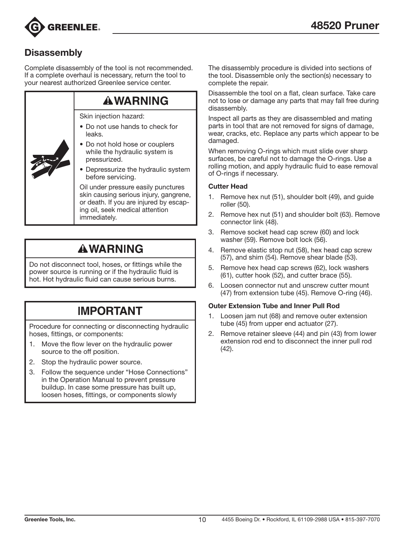

### **Disassembly**

Complete disassembly of the tool is not recommended. If a complete overhaul is necessary, return the tool to your nearest authorized Greenlee service center.

| <b>AWARNING</b>                                                                                                                                                            |  |  |  |
|----------------------------------------------------------------------------------------------------------------------------------------------------------------------------|--|--|--|
| Skin injection hazard:                                                                                                                                                     |  |  |  |
| • Do not use hands to check for<br>leaks.                                                                                                                                  |  |  |  |
| • Do not hold hose or couplers<br>while the hydraulic system is<br>pressurized.                                                                                            |  |  |  |
| • Depressurize the hydraulic system<br>before servicing.                                                                                                                   |  |  |  |
| Oil under pressure easily punctures<br>skin causing serious injury, gangrene,<br>or death. If you are injured by escap-<br>ing oil, seek medical attention<br>immediatelv. |  |  |  |

# **AWARNING**

Do not disconnect tool, hoses, or fittings while the power source is running or if the hydraulic fluid is hot. Hot hydraulic fluid can cause serious burns.

## **IMPORTANT**

Procedure for connecting or disconnecting hydraulic hoses, fittings, or components:

- 1. Move the flow lever on the hydraulic power source to the off position.
- 2. Stop the hydraulic power source.
- 3. Follow the sequence under "Hose Connections" in the Operation Manual to prevent pressure buildup. In case some pressure has built up, loosen hoses, fittings, or components slowly

The disassembly procedure is divided into sections of the tool. Disassemble only the section(s) necessary to complete the repair.

Disassemble the tool on a flat, clean surface. Take care not to lose or damage any parts that may fall free during disassembly.

Inspect all parts as they are disassembled and mating parts in tool that are not removed for signs of damage, wear, cracks, etc. Replace any parts which appear to be damaged.

When removing O-rings which must slide over sharp surfaces, be careful not to damage the O-rings. Use a rolling motion, and apply hydraulic fluid to ease removal of O-rings if necessary.

#### Cutter Head

- 1. Remove hex nut (51), shoulder bolt (49), and guide roller (50).
- 2. Remove hex nut (51) and shoulder bolt (63). Remove connector link (48).
- 3. Remove socket head cap screw (60) and lock washer (59). Remove bolt lock (56).
- 4. Remove elastic stop nut (58), hex head cap screw (57), and shim (54). Remove shear blade (53).
- 5. Remove hex head cap screws (62), lock washers (61), cutter hook (52), and cutter brace (55).
- 6. Loosen connector nut and unscrew cutter mount (47) from extension tube (45). Remove O-ring (46).

#### Outer Extension Tube and Inner Pull Rod

- 1. Loosen jam nut (68) and remove outer extension tube (45) from upper end actuator (27).
- 2. Remove retainer sleeve (44) and pin (43) from lower extension rod end to disconnect the inner pull rod (42).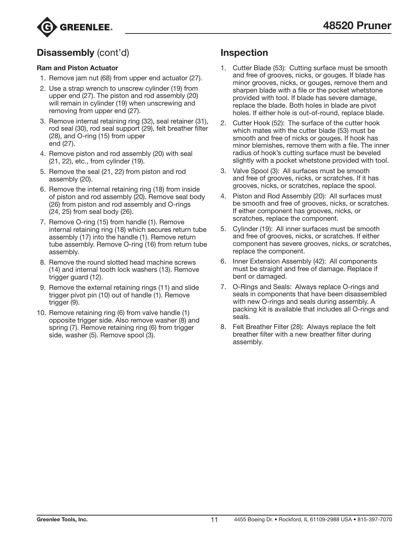

### Disassembly (cont'd)

#### Ram and Piston Actuator

- 1. Remove jam nut (68) from upper end actuator (27).
- 2. Use a strap wrench to unscrew cylinder (19) from upper end (27). The piston and rod assembly (20) will remain in cylinder (19) when unscrewing and removing from upper end (27).
- 3. Remove internal retaining ring (32), seal retainer (31), rod seal (30), rod seal support (29), felt breather filter (28), and O-ring (15) from upper end (27).
- 4. Remove piston and rod assembly (20) with seal (21, 22), etc., from cylinder (19).
- 5. Remove the seal (21, 22) from piston and rod assembly (20).
- 6. Remove the internal retaining ring (18) from inside of piston and rod assembly (20). Remove seal body (26) from piston and rod assembly and O-rings (24, 25) from seal body (26).
- 7. Remove O-ring (15) from handle (1). Remove internal retaining ring (18) which secures return tube assembly (17) into the handle (1). Remove return tube assembly. Remove O-ring (16) from return tube assembly.
- 8. Remove the round slotted head machine screws (14) and internal tooth lock washers (13). Remove trigger guard (12).
- 9. Remove the external retaining rings (11) and slide trigger pivot pin (10) out of handle (1). Remove trigger (9).
- 10. Remove retaining ring (6) from valve handle (1) opposite trigger side. Also remove washer (8) and spring (7). Remove retaining ring (6) from trigger side, washer (5). Remove spool (3).

### Inspection

- 1. Cutter Blade (53): Cutting surface must be smooth and free of grooves, nicks, or gouges. If blade has minor grooves, nicks, or gouges, remove them and sharpen blade with a file or the pocket whetstone provided with tool. If blade has severe damage, replace the blade. Both holes in blade are pivot holes. If either hole is out-of-round, replace blade.
- 2. Cutter Hook (52): The surface of the cutter hook which mates with the cutter blade (53) must be smooth and free of nicks or gouges. If hook has minor blemishes, remove them with a file. The inner radius of hook's cutting surface must be beveled slightly with a pocket whetstone provided with tool.
- 3. Valve Spool (3): All surfaces must be smooth and free of grooves, nicks, or scratches. If it has grooves, nicks, or scratches, replace the spool.
- 4. Piston and Rod Assembly (20): All surfaces must be smooth and free of grooves, nicks, or scratches. If either component has grooves, nicks, or scratches, replace the component.
- 5. Cylinder (19): All inner surfaces must be smooth and free of grooves, nicks, or scratches. If either component has severe grooves, nicks, or scratches, replace the component.
- 6. Inner Extension Assembly (42): All components must be straight and free of damage. Replace if bent or damaged.
- 7. O-Rings and Seals: Always replace O-rings and seals in components that have been disassembled with new O-rings and seals during assembly. A packing kit is available that includes all O-rings and seals.
- 8. Felt Breather Filter (28): Always replace the felt breather filter with a new breather filter during assembly.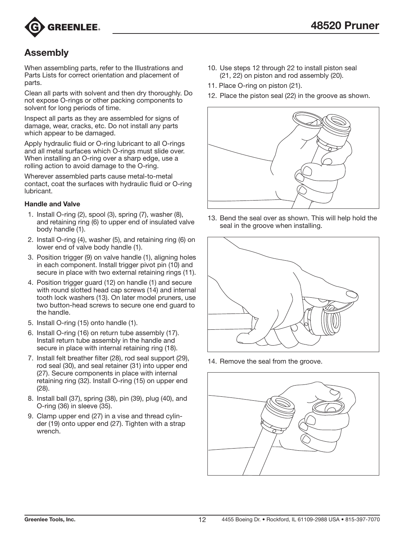

### Assembly

When assembling parts, refer to the Illustrations and Parts Lists for correct orientation and placement of parts.

Clean all parts with solvent and then dry thoroughly. Do not expose O-rings or other packing components to solvent for long periods of time.

Inspect all parts as they are assembled for signs of damage, wear, cracks, etc. Do not install any parts which appear to be damaged.

Apply hydraulic fluid or O-ring lubricant to all O-rings and all metal surfaces which O-rings must slide over. When installing an O-ring over a sharp edge, use a rolling action to avoid damage to the O-ring.

Wherever assembled parts cause metal-to-metal contact, coat the surfaces with hydraulic fluid or O-ring lubricant.

#### Handle and Valve

- 1. Install O-ring (2), spool (3), spring (7), washer (8), and retaining ring (6) to upper end of insulated valve body handle (1).
- 2. Install O-ring (4), washer (5), and retaining ring (6) on lower end of valve body handle (1).
- 3. Position trigger (9) on valve handle (1), aligning holes in each component. Install trigger pivot pin (10) and secure in place with two external retaining rings (11).
- 4. Position trigger guard (12) on handle (1) and secure with round slotted head cap screws (14) and internal tooth lock washers (13). On later model pruners, use two button-head screws to secure one end guard to the handle.
- 5. Install O-ring (15) onto handle (1).
- 6. Install O-ring (16) on return tube assembly (17). Install return tube assembly in the handle and secure in place with internal retaining ring (18).
- 7. Install felt breather filter (28), rod seal support (29), rod seal (30), and seal retainer (31) into upper end (27). Secure components in place with internal retaining ring (32). Install O-ring (15) on upper end (28).
- 8. Install ball (37), spring (38), pin (39), plug (40), and O-ring (36) in sleeve (35).
- 9. Clamp upper end (27) in a vise and thread cylinder (19) onto upper end (27). Tighten with a strap wrench.
- 10. Use steps 12 through 22 to install piston seal (21, 22) on piston and rod assembly (20).
- 11. Place O-ring on piston (21).
- 12. Place the piston seal (22) in the groove as shown.



13. Bend the seal over as shown. This will help hold the seal in the groove when installing.



14. Remove the seal from the groove.

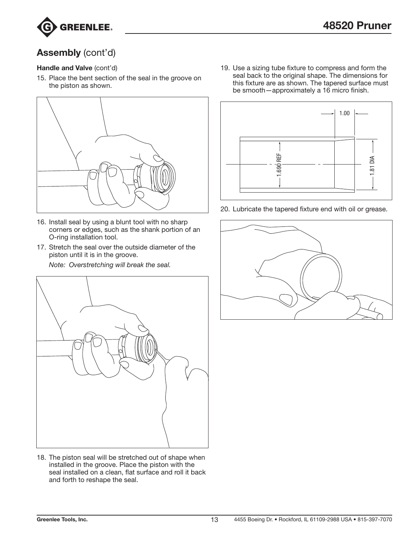

### Assembly (cont'd)

#### Handle and Valve (cont'd)

15. Place the bent section of the seal in the groove on the piston as shown.



- 16. Install seal by using a blunt tool with no sharp corners or edges, such as the shank portion of an O-ring installation tool.
- 17. Stretch the seal over the outside diameter of the piston until it is in the groove.

*Note: Overstretching will break the seal.*



18. The piston seal will be stretched out of shape when installed in the groove. Place the piston with the seal installed on a clean, flat surface and roll it back and forth to reshape the seal.

19. Use a sizing tube fixture to compress and form the seal back to the original shape. The dimensions for this fixture are as shown. The tapered surface must be smooth—approximately a 16 micro finish.



20. Lubricate the tapered fixture end with oil or grease.

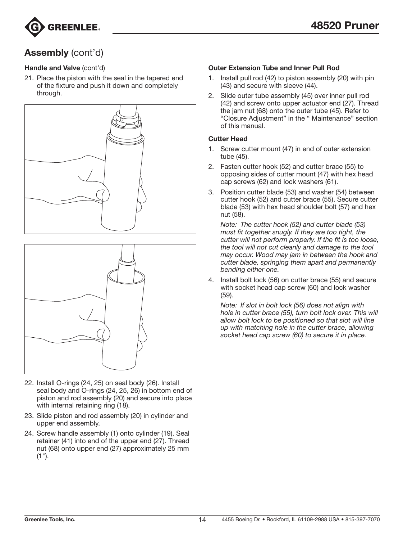

### Assembly (cont'd)

#### Handle and Valve (cont'd)

21. Place the piston with the seal in the tapered end of the fixture and push it down and completely through.





- 22. Install O-rings (24, 25) on seal body (26). Install seal body and O-rings (24, 25, 26) in bottom end of piston and rod assembly (20) and secure into place with internal retaining ring (18).
- 23. Slide piston and rod assembly (20) in cylinder and upper end assembly.
- 24. Screw handle assembly (1) onto cylinder (19). Seal retainer (41) into end of the upper end (27). Thread nut (68) onto upper end (27) approximately 25 mm  $(1")$ .

#### Outer Extension Tube and Inner Pull Rod

- 1. Install pull rod (42) to piston assembly (20) with pin (43) and secure with sleeve (44).
- 2. Slide outer tube assembly (45) over inner pull rod (42) and screw onto upper actuator end (27). Thread the jam nut (68) onto the outer tube (45). Refer to "Closure Adjustment" in the " Maintenance" section of this manual.

#### Cutter Head

- 1. Screw cutter mount (47) in end of outer extension tube (45).
- 2. Fasten cutter hook (52) and cutter brace (55) to opposing sides of cutter mount (47) with hex head cap screws (62) and lock washers (61).
- 3. Position cutter blade (53) and washer (54) between cutter hook (52) and cutter brace (55). Secure cutter blade (53) with hex head shoulder bolt (57) and hex nut (58).

*Note: The cutter hook (52) and cutter blade (53) must fit together snugly. If they are too tight, the cutter will not perform properly. If the fit is too loose, the tool will not cut cleanly and damage to the tool may occur. Wood may jam in between the hook and cutter blade, springing them apart and permanently bending either one.*

4. Install bolt lock (56) on cutter brace (55) and secure with socket head cap screw (60) and lock washer (59).

*Note: If slot in bolt lock (56) does not align with hole in cutter brace (55), turn bolt lock over. This will allow bolt lock to be positioned so that slot will line up with matching hole in the cutter brace, allowing socket head cap screw (60) to secure it in place.*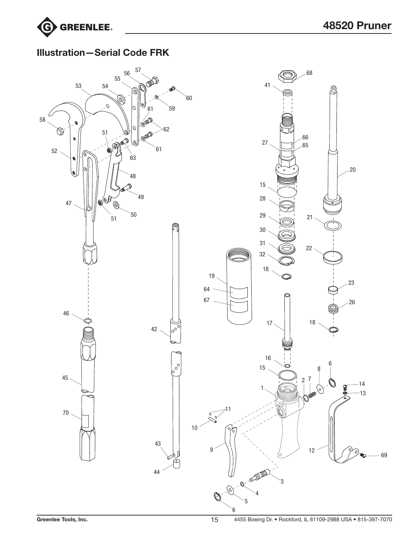

### Illustration—Serial Code FRK

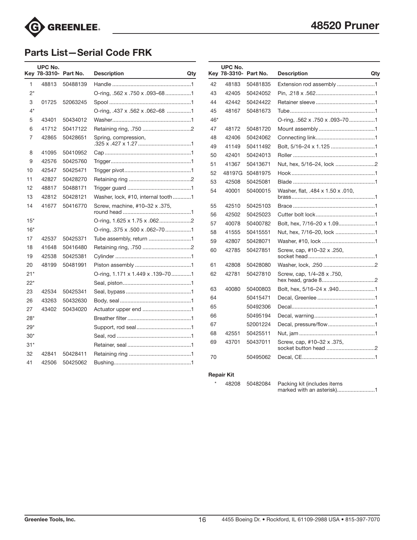

### Parts List—Serial Code FRK

|                | UPC No.<br>Kev 78-3310- Part No. |                      | <b>Description</b><br>Qty          |          | <b>UPC No.</b><br>Key 78-3310- Part No. |                      | <b>Description</b>                | Qtv |
|----------------|----------------------------------|----------------------|------------------------------------|----------|-----------------------------------------|----------------------|-----------------------------------|-----|
| $\mathbf{1}$   | 48813                            | 50488139             |                                    | 42       | 48183                                   | 50481835             |                                   |     |
| $2^*$          |                                  |                      | O-ring, .562 x .750 x .093-681     | 43       | 42405                                   | 50424052             |                                   |     |
| 3              | 01725                            | 52063245             |                                    | 44       | 42442                                   | 50424422             |                                   |     |
| $4^*$          |                                  |                      | O-ring, .437 x .562 x .062-68 1    | 45       | 48167                                   | 50481673             |                                   |     |
| 5              | 43401                            | 50434012             |                                    | $46*$    |                                         |                      | O-ring, .562 x .750 x .093-701    |     |
| 6              | 41712                            | 50417122             |                                    | 47       | 48172                                   | 50481720             |                                   |     |
| 7              | 42865                            | 50428651             | Spring, compression,               | 48<br>49 | 42406<br>41149                          | 50424062<br>50411492 | Bolt, 5/16-24 x 1.125 1           |     |
| 8              | 41095                            | 50410952             |                                    | 50       | 42401                                   | 50424013             |                                   |     |
| 9              | 42576                            | 50425760             |                                    | 51       | 41367                                   | 50413671             | Nut, hex, 5/16-24, lock 2         |     |
| 10             | 42547                            | 50425471             |                                    | 52       | 48197G                                  | 50481975             |                                   |     |
| 11             | 42827                            | 50428270             |                                    | 53       | 42508                                   | 50425081             |                                   |     |
| 12<br>13       | 48817<br>42812                   | 50488171<br>50428121 | Washer, lock, #10, internal tooth1 | 54       | 40001                                   | 50400015             | Washer, flat, .484 x 1.50 x .010, |     |
| 14             | 41677                            | 50416770             | Screw, machine, #10-32 x .375,     | 55       | 42510                                   | 50425103             |                                   |     |
|                |                                  |                      |                                    | 56       | 42502                                   | 50425023             |                                   |     |
| $15*$          |                                  |                      |                                    | 57       | 40078                                   | 50400782             |                                   |     |
| $16*$          |                                  |                      | O-ring, .375 x .500 x .062–701     | 58       | 41555                                   | 50415551             | Nut, hex, 7/16-20, lock 1         |     |
| 17             | 42537                            | 50425371             | Tube assembly, return 1            | 59       | 42807                                   | 50428071             |                                   |     |
| 18<br>19       | 41648<br>42538                   | 50416480<br>50425381 |                                    | 60       | 42785                                   | 50427851             | Screw, cap, #10-32 x .250,        |     |
| 20             | 48199                            | 50481991             |                                    | 61       | 42808                                   | 50428080             |                                   |     |
| $21*$<br>$22*$ |                                  |                      | O-ring, 1.171 x 1.449 x .139-701   | 62       | 42781                                   | 50427810             | Screw, cap, 1/4-28 x .750,        |     |
| 23             | 42534                            | 50425341             |                                    | 63       | 40080                                   | 50400803             |                                   |     |
| 26             | 43263                            | 50432630             |                                    | 64       |                                         | 50415471             |                                   |     |
| 27             | 43402                            | 50434020             |                                    | 65       |                                         | 50492306             |                                   |     |
| $28*$          |                                  |                      |                                    | 66       |                                         | 50495194             |                                   |     |
| $29*$          |                                  |                      |                                    | 67       |                                         | 52001224             | Decal, pressure/flow1             |     |
| $30*$          |                                  |                      |                                    | 68       | 42551                                   | 50425511             |                                   |     |
| $31*$          |                                  |                      |                                    | 69       | 43701                                   | 50437011             | Screw, cap, #10-32 x .375,        |     |
| 32<br>41       | 42841<br>42506                   | 50428411<br>50425062 |                                    | 70       |                                         | 50495062             |                                   |     |

#### Repair Kit

\* 48208 50482084 Packing kit (includes items marked with an asterisk)..........................1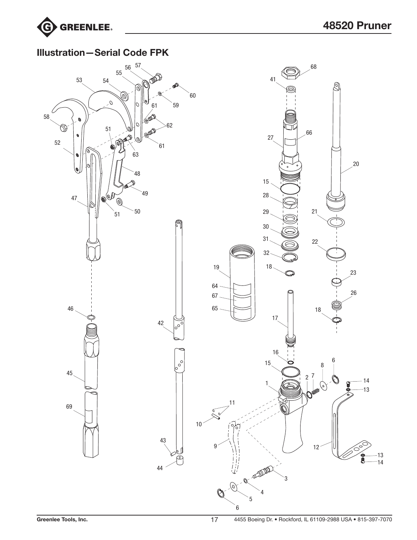

### Illustration—Serial Code FPK